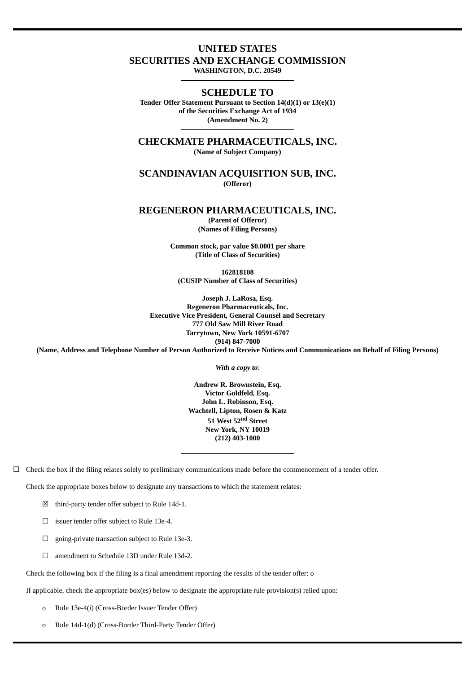## **UNITED STATES**

**SECURITIES AND EXCHANGE COMMISSION**

**WASHINGTON, D.C. 20549**

**SCHEDULE TO Tender Offer Statement Pursuant to Section 14(d)(1) or 13(e)(1) of the Securities Exchange Act of 1934 (Amendment No. 2)**

**CHECKMATE PHARMACEUTICALS, INC. (Name of Subject Company)**

**SCANDINAVIAN ACQUISITION SUB, INC. (Offeror)**

**REGENERON PHARMACEUTICALS, INC. (Parent of Offeror)**

**(Names of Filing Persons)**

**Common stock, par value \$0.0001 per share (Title of Class of Securities)**

**162818108 (CUSIP Number of Class of Securities)**

**Joseph J. LaRosa, Esq. Regeneron Pharmaceuticals, Inc. Executive Vice President, General Counsel and Secretary 777 Old Saw Mill River Road Tarrytown, New York 10591-6707 (914) 847-7000**

(Name, Address and Telephone Number of Person Authorized to Receive Notices and Communications on Behalf of Filing Persons)

*With a copy to*:

**Andrew R. Brownstein, Esq. Victor Goldfeld, Esq. John L. Robinson, Esq. Wachtell, Lipton, Rosen & Katz 51 West 52 nd Street New York, NY 10019 (212) 403-1000**

 $\Box$  Check the box if the filing relates solely to preliminary communications made before the commencement of a tender offer.

Check the appropriate boxes below to designate any transactions to which the statement relates:

 $\boxtimes$  third-party tender offer subject to Rule 14d-1.

☐ issuer tender offer subject to Rule 13e-4.

☐ going-private transaction subject to Rule 13e-3.

☐ amendment to Schedule 13D under Rule 13d-2.

Check the following box if the filing is a final amendment reporting the results of the tender offer: o

If applicable, check the appropriate box(es) below to designate the appropriate rule provision(s) relied upon:

o Rule 13e-4(i) (Cross-Border Issuer Tender Offer)

o Rule 14d-1(d) (Cross-Border Third-Party Tender Offer)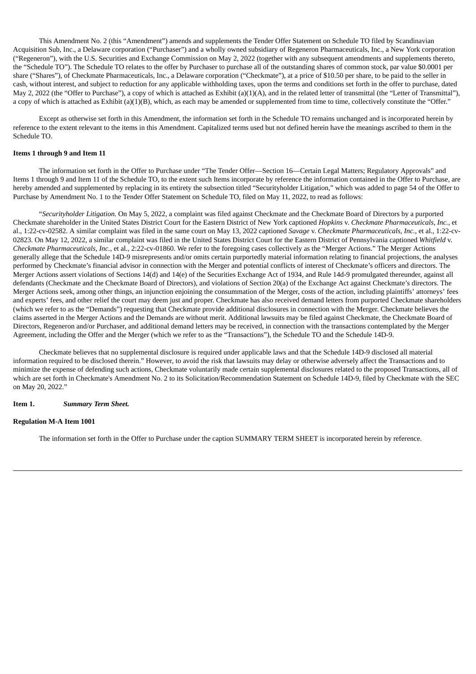This Amendment No. 2 (this "Amendment") amends and supplements the Tender Offer Statement on Schedule TO filed by Scandinavian Acquisition Sub, Inc., a Delaware corporation ("Purchaser") and a wholly owned subsidiary of Regeneron Pharmaceuticals, Inc., a New York corporation ("Regeneron"), with the U.S. Securities and Exchange Commission on May 2, 2022 (together with any subsequent amendments and supplements thereto, the "Schedule TO"). The Schedule TO relates to the offer by Purchaser to purchase all of the outstanding shares of common stock, par value \$0.0001 per share ("Shares"), of Checkmate Pharmaceuticals, Inc., a Delaware corporation ("Checkmate"), at a price of \$10.50 per share, to be paid to the seller in cash, without interest, and subject to reduction for any applicable withholding taxes, upon the terms and conditions set forth in the offer to purchase, dated May 2, 2022 (the "Offer to Purchase"), a copy of which is attached as Exhibit (a)(1)(A), and in the related letter of transmittal (the "Letter of Transmittal"), a copy of which is attached as Exhibit (a)(1)(B), which, as each may be amended or supplemented from time to time, collectively constitute the "Offer."

Except as otherwise set forth in this Amendment, the information set forth in the Schedule TO remains unchanged and is incorporated herein by reference to the extent relevant to the items in this Amendment. Capitalized terms used but not defined herein have the meanings ascribed to them in the Schedule TO.

### **Items 1 through 9 and Item 11**

The information set forth in the Offer to Purchase under "The Tender Offer—Section 16—Certain Legal Matters; Regulatory Approvals" and Items 1 through 9 and Item 11 of the Schedule TO, to the extent such Items incorporate by reference the information contained in the Offer to Purchase, are hereby amended and supplemented by replacing in its entirety the subsection titled "Securityholder Litigation," which was added to page 54 of the Offer to Purchase by Amendment No. 1 to the Tender Offer Statement on Schedule TO, filed on May 11, 2022, to read as follows:

"*Securityholder Litigation.* On May 5, 2022, a complaint was filed against Checkmate and the Checkmate Board of Directors by a purported Checkmate shareholder in the United States District Court for the Eastern District of New York captioned *Hopkins* v. *Checkmate Pharmaceuticals, Inc.*, et al., 1:22-cv-02582. A similar complaint was filed in the same court on May 13, 2022 captioned *Savage* v. *Checkmate Pharmaceuticals, Inc.*, et al., 1:22-cv-02823. On May 12, 2022, a similar complaint was filed in the United States District Court for the Eastern District of Pennsylvania captioned *Whitfield* v. *Checkmate Pharmaceuticals, Inc.*, et al., 2:22-cv-01860. We refer to the foregoing cases collectively as the "Merger Actions." The Merger Actions generally allege that the Schedule 14D-9 misrepresents and/or omits certain purportedly material information relating to financial projections, the analyses performed by Checkmate's financial advisor in connection with the Merger and potential conflicts of interest of Checkmate's officers and directors. The Merger Actions assert violations of Sections 14(d) and 14(e) of the Securities Exchange Act of 1934, and Rule 14d-9 promulgated thereunder, against all defendants (Checkmate and the Checkmate Board of Directors), and violations of Section 20(a) of the Exchange Act against Checkmate's directors. The Merger Actions seek, among other things, an injunction enjoining the consummation of the Merger, costs of the action, including plaintiffs' attorneys' fees and experts' fees, and other relief the court may deem just and proper. Checkmate has also received demand letters from purported Checkmate shareholders (which we refer to as the "Demands") requesting that Checkmate provide additional disclosures in connection with the Merger. Checkmate believes the claims asserted in the Merger Actions and the Demands are without merit. Additional lawsuits may be filed against Checkmate, the Checkmate Board of Directors, Regeneron and/or Purchaser, and additional demand letters may be received, in connection with the transactions contemplated by the Merger Agreement, including the Offer and the Merger (which we refer to as the "Transactions"), the Schedule TO and the Schedule 14D-9.

Checkmate believes that no supplemental disclosure is required under applicable laws and that the Schedule 14D-9 disclosed all material information required to be disclosed therein." However, to avoid the risk that lawsuits may delay or otherwise adversely affect the Transactions and to minimize the expense of defending such actions, Checkmate voluntarily made certain supplemental disclosures related to the proposed Transactions, all of which are set forth in Checkmate's Amendment No. 2 to its Solicitation/Recommendation Statement on Schedule 14D-9, filed by Checkmate with the SEC on May 20, 2022."

#### **Item 1.** *Summary Term Sheet.*

#### **Regulation M-A Item 1001**

The information set forth in the Offer to Purchase under the caption SUMMARY TERM SHEET is incorporated herein by reference.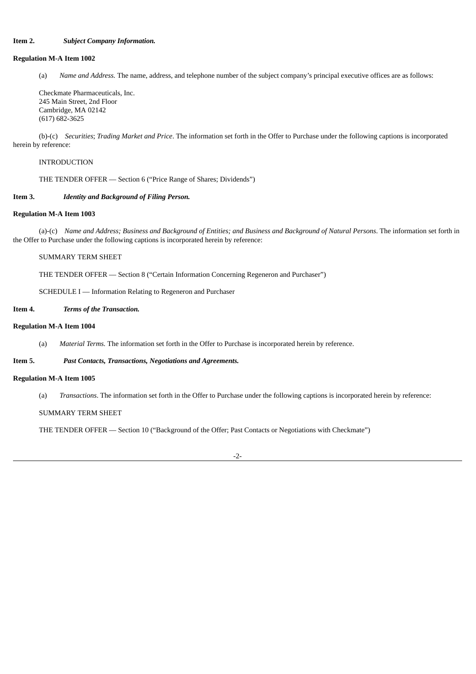## **Item 2.** *Subject Company Information.*

### **Regulation M-A Item 1002**

(a) *Name and Address.* The name, address, and telephone number of the subject company's principal executive offices are as follows:

Checkmate Pharmaceuticals, Inc. 245 Main Street, 2nd Floor Cambridge, MA 02142 (617) 682-3625

(b)-(c) *Securities*; *Trading Market and Price*. The information set forth in the Offer to Purchase under the following captions is incorporated herein by reference:

INTRODUCTION

THE TENDER OFFER — Section 6 ("Price Range of Shares; Dividends")

### **Item 3.** *Identity and Background of Filing Person.*

### **Regulation M-A Item 1003**

(a)-(c) Name and Address; Business and Background of Entities; and Business and Background of Natural Persons. The information set forth in the Offer to Purchase under the following captions is incorporated herein by reference:

SUMMARY TERM SHEET

THE TENDER OFFER — Section 8 ("Certain Information Concerning Regeneron and Purchaser")

SCHEDULE I — Information Relating to Regeneron and Purchaser

## **Item 4.** *Terms of the Transaction.*

### **Regulation M-A Item 1004**

(a) *Material Terms.* The information set forth in the Offer to Purchase is incorporated herein by reference.

## **Item 5.** *Past Contacts, Transactions, Negotiations and Agreements.*

### **Regulation M-A Item 1005**

(a) *Transactions*. The information set forth in the Offer to Purchase under the following captions is incorporated herein by reference:

SUMMARY TERM SHEET

THE TENDER OFFER — Section 10 ("Background of the Offer; Past Contacts or Negotiations with Checkmate")

-2-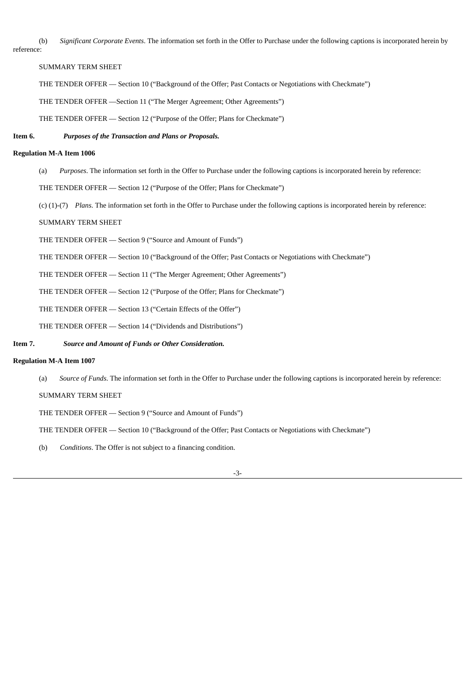(b) *Significant Corporate Events*. The information set forth in the Offer to Purchase under the following captions is incorporated herein by reference:

SUMMARY TERM SHEET

THE TENDER OFFER — Section 10 ("Background of the Offer; Past Contacts or Negotiations with Checkmate")

THE TENDER OFFER —Section 11 ("The Merger Agreement; Other Agreements")

THE TENDER OFFER — Section 12 ("Purpose of the Offer; Plans for Checkmate")

## **Item 6.** *Purposes of the Transaction and Plans or Proposals.*

### **Regulation M-A Item 1006**

- (a) *Purposes*. The information set forth in the Offer to Purchase under the following captions is incorporated herein by reference:
- THE TENDER OFFER Section 12 ("Purpose of the Offer; Plans for Checkmate")
- (c) (1)-(7) *Plans*. The information set forth in the Offer to Purchase under the following captions is incorporated herein by reference:

## SUMMARY TERM SHEET

- THE TENDER OFFER Section 9 ("Source and Amount of Funds")
- THE TENDER OFFER Section 10 ("Background of the Offer; Past Contacts or Negotiations with Checkmate")
- THE TENDER OFFER Section 11 ("The Merger Agreement; Other Agreements")

THE TENDER OFFER — Section 12 ("Purpose of the Offer; Plans for Checkmate")

THE TENDER OFFER — Section 13 ("Certain Effects of the Offer")

THE TENDER OFFER — Section 14 ("Dividends and Distributions")

### **Item 7.** *Source and Amount of Funds or Other Consideration.*

### **Regulation M-A Item 1007**

(a) *Source of Funds*. The information set forth in the Offer to Purchase under the following captions is incorporated herein by reference:

### SUMMARY TERM SHEET

THE TENDER OFFER — Section 9 ("Source and Amount of Funds")

THE TENDER OFFER — Section 10 ("Background of the Offer; Past Contacts or Negotiations with Checkmate")

(b) *Conditions*. The Offer is not subject to a financing condition.

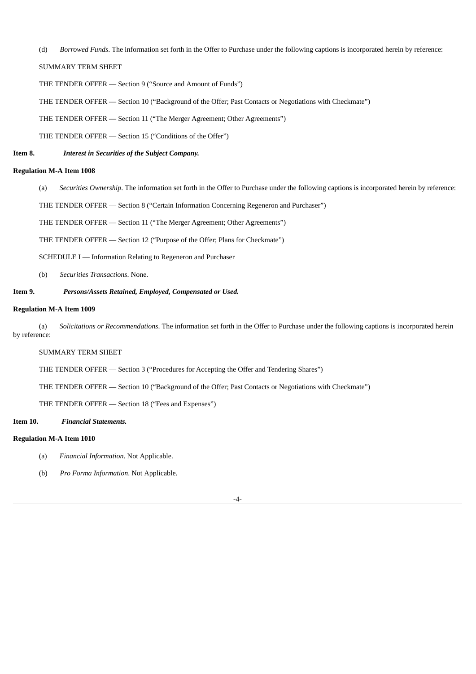(d) *Borrowed Funds*. The information set forth in the Offer to Purchase under the following captions is incorporated herein by reference:

# SUMMARY TERM SHEET

- THE TENDER OFFER Section 9 ("Source and Amount of Funds")
- THE TENDER OFFER Section 10 ("Background of the Offer; Past Contacts or Negotiations with Checkmate")
- THE TENDER OFFER Section 11 ("The Merger Agreement; Other Agreements")
- THE TENDER OFFER Section 15 ("Conditions of the Offer")

## **Item 8.** *Interest in Securities of the Subject Company.*

### **Regulation M-A Item 1008**

- (a) *Securities Ownership*. The information set forth in the Offer to Purchase under the following captions is incorporated herein by reference:
- THE TENDER OFFER Section 8 ("Certain Information Concerning Regeneron and Purchaser")

THE TENDER OFFER — Section 11 ("The Merger Agreement; Other Agreements")

THE TENDER OFFER — Section 12 ("Purpose of the Offer; Plans for Checkmate")

SCHEDULE I — Information Relating to Regeneron and Purchaser

(b) *Securities Transactions*. None.

### **Item 9.** *Persons/Assets Retained, Employed, Compensated or Used.*

### **Regulation M-A Item 1009**

(a) *Solicitations or Recommendations*. The information set forth in the Offer to Purchase under the following captions is incorporated herein by reference:

### SUMMARY TERM SHEET

THE TENDER OFFER — Section 3 ("Procedures for Accepting the Offer and Tendering Shares")

THE TENDER OFFER — Section 10 ("Background of the Offer; Past Contacts or Negotiations with Checkmate")

THE TENDER OFFER — Section 18 ("Fees and Expenses")

### **Item 10.** *Financial Statements.*

### **Regulation M-A Item 1010**

- (a) *Financial Information*. Not Applicable.
- (b) *Pro Forma Information*. Not Applicable.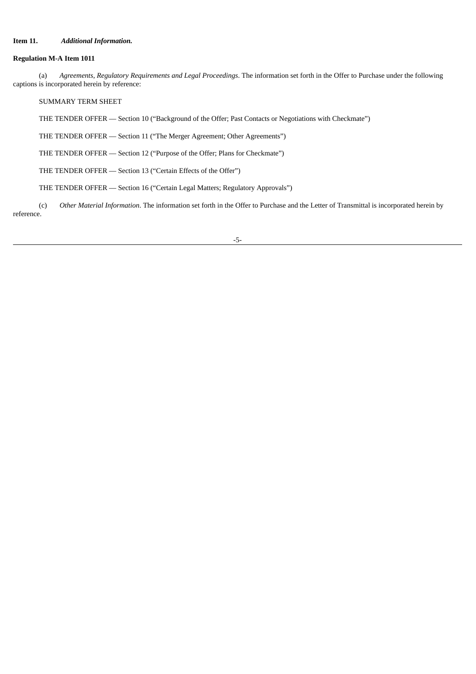## **Item 11.** *Additional Information.*

## **Regulation M-A Item 1011**

(a) *Agreements*, *Regulatory Requirements and Legal Proceedings*. The information set forth in the Offer to Purchase under the following captions is incorporated herein by reference:

SUMMARY TERM SHEET

THE TENDER OFFER — Section 10 ("Background of the Offer; Past Contacts or Negotiations with Checkmate")

THE TENDER OFFER — Section 11 ("The Merger Agreement; Other Agreements")

THE TENDER OFFER — Section 12 ("Purpose of the Offer; Plans for Checkmate")

THE TENDER OFFER — Section 13 ("Certain Effects of the Offer")

THE TENDER OFFER — Section 16 ("Certain Legal Matters; Regulatory Approvals")

(c) *Other Material Information*. The information set forth in the Offer to Purchase and the Letter of Transmittal is incorporated herein by reference.

-5-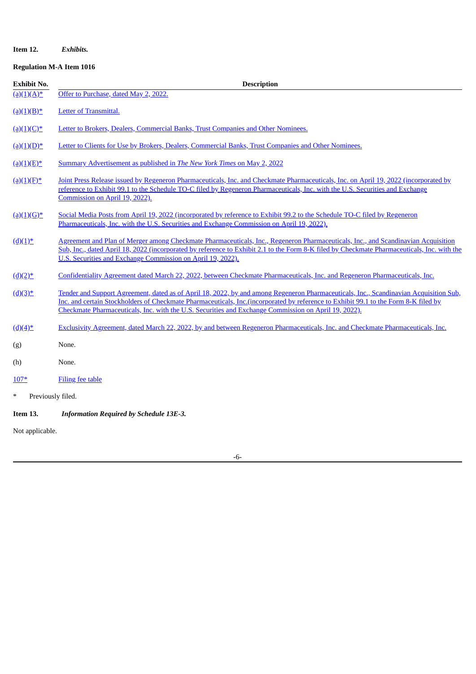## **Item 12.** *Exhibits.*

# **Regulation M-A Item 1016**

| <b>Exhibit No.</b>          | <b>Description</b>                                                                                                                                                                                                                                                                                                                                                                   |
|-----------------------------|--------------------------------------------------------------------------------------------------------------------------------------------------------------------------------------------------------------------------------------------------------------------------------------------------------------------------------------------------------------------------------------|
| $(a)(1)(A)^*$               | Offer to Purchase, dated May 2, 2022.                                                                                                                                                                                                                                                                                                                                                |
| $(a)(1)(B)^*$               | Letter of Transmittal.                                                                                                                                                                                                                                                                                                                                                               |
| $\underline{(a)(1)(C)^*}$   | Letter to Brokers, Dealers, Commercial Banks, Trust Companies and Other Nominees.                                                                                                                                                                                                                                                                                                    |
| $(a)(1)(D)^*$               | Letter to Clients for Use by Brokers, Dealers, Commercial Banks, Trust Companies and Other Nominees.                                                                                                                                                                                                                                                                                 |
| $(a)(1)(E)^*$               | Summary Advertisement as published in The New York Times on May 2, 2022                                                                                                                                                                                                                                                                                                              |
| $(a)(1)(E)^*$               | Joint Press Release issued by Regeneron Pharmaceuticals, Inc. and Checkmate Pharmaceuticals, Inc. on April 19, 2022 (incorporated by<br>reference to Exhibit 99.1 to the Schedule TO-C filed by Regeneron Pharmaceuticals, Inc. with the U.S. Securities and Exchange<br>Commission on April 19, 2022).                                                                              |
| $(a)(1)(G)^*$               | Social Media Posts from April 19, 2022 (incorporated by reference to Exhibit 99.2 to the Schedule TO-C filed by Regeneron<br>Pharmaceuticals, Inc. with the U.S. Securities and Exchange Commission on April 19, 2022).                                                                                                                                                              |
| $(d)(1)^*$                  | Agreement and Plan of Merger among Checkmate Pharmaceuticals, Inc., Regeneron Pharmaceuticals, Inc., and Scandinavian Acquisition<br>Sub, Inc., dated April 18, 2022 (incorporated by reference to Exhibit 2.1 to the Form 8-K filed by Checkmate Pharmaceuticals, Inc. with the<br>U.S. Securities and Exchange Commission on April 19, 2022).                                      |
| $(d)(2)^*$                  | Confidentiality Agreement dated March 22, 2022, between Checkmate Pharmaceuticals, Inc. and Regeneron Pharmaceuticals, Inc.                                                                                                                                                                                                                                                          |
| $(d)(3)^*$                  | Tender and Support Agreement, dated as of April 18, 2022, by and among Regeneron Pharmaceuticals, Inc., Scandinavian Acquisition Sub,<br>Inc. and certain Stockholders of Checkmate Pharmaceuticals, Inc.(incorporated by reference to Exhibit 99.1 to the Form 8-K filed by<br>Checkmate Pharmaceuticals, Inc. with the U.S. Securities and Exchange Commission on April 19, 2022). |
| $(d)(4)^*$                  | Exclusivity Agreement, dated March 22, 2022, by and between Regeneron Pharmaceuticals, Inc. and Checkmate Pharmaceuticals, Inc.                                                                                                                                                                                                                                                      |
| (g)                         | None.                                                                                                                                                                                                                                                                                                                                                                                |
| (h)                         | None.                                                                                                                                                                                                                                                                                                                                                                                |
| $107*$                      | <b>Filing fee table</b>                                                                                                                                                                                                                                                                                                                                                              |
| $\ast$<br>Previously filed. |                                                                                                                                                                                                                                                                                                                                                                                      |
| Item 13.                    | <b>Information Required by Schedule 13E-3.</b>                                                                                                                                                                                                                                                                                                                                       |
| Not applicable.             |                                                                                                                                                                                                                                                                                                                                                                                      |

-6-